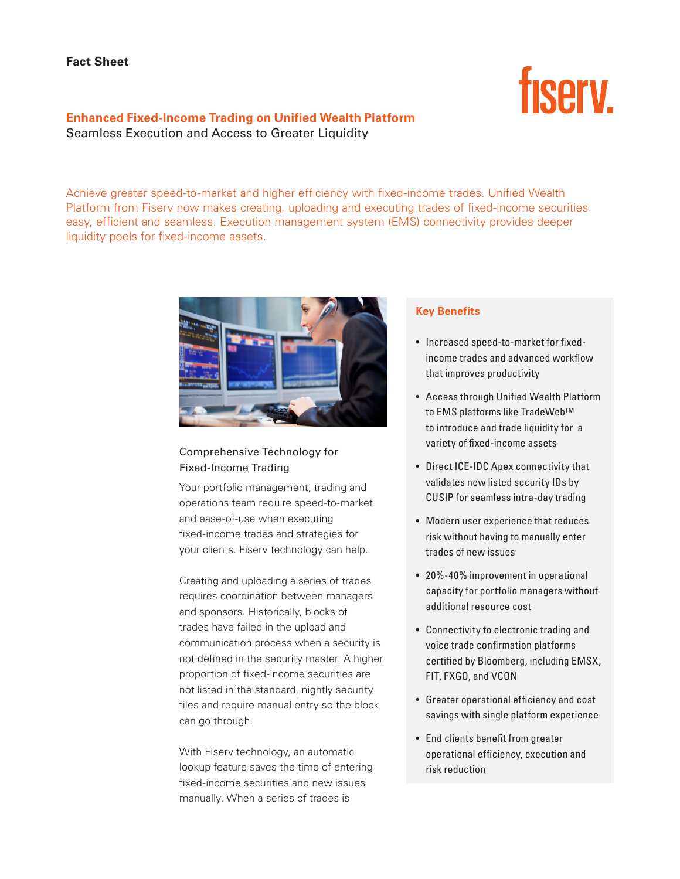# **fisery**

# **Enhanced Fixed-Income Trading on Unified Wealth Platform** Seamless Execution and Access to Greater Liquidity

Achieve greater speed-to-market and higher efficiency with fixed-income trades. Unified Wealth Platform from Fiserv now makes creating, uploading and executing trades of fixed-income securities easy, efficient and seamless. Execution management system (EMS) connectivity provides deeper liquidity pools for fixed-income assets.



# Comprehensive Technology for Fixed-Income Trading

Your portfolio management, trading and operations team require speed-to-market and ease-of-use when executing fixed-income trades and strategies for your clients. Fiserv technology can help.

Creating and uploading a series of trades requires coordination between managers and sponsors. Historically, blocks of trades have failed in the upload and communication process when a security is not defined in the security master. A higher proportion of fixed-income securities are not listed in the standard, nightly security files and require manual entry so the block can go through.

With Fiserv technology, an automatic lookup feature saves the time of entering fixed-income securities and new issues manually. When a series of trades is

## **Key Benefits**

- Increased speed-to-market for fixedincome trades and advanced workflow that improves productivity
- Access through Unified Wealth Platform to EMS platforms like TradeWeb™ to introduce and trade liquidity for a variety of fixed-income assets
- Direct ICE-IDC Apex connectivity that validates new listed security IDs by CUSIP for seamless intra-day trading
- Modern user experience that reduces risk without having to manually enter trades of new issues
- 20%-40% improvement in operational capacity for portfolio managers without additional resource cost
- Connectivity to electronic trading and voice trade confirmation platforms certified by Bloomberg, including EMSX, FIT, FXGO, and VCON
- Greater operational efficiency and cost savings with single platform experience
- End clients benefit from greater operational efficiency, execution and risk reduction